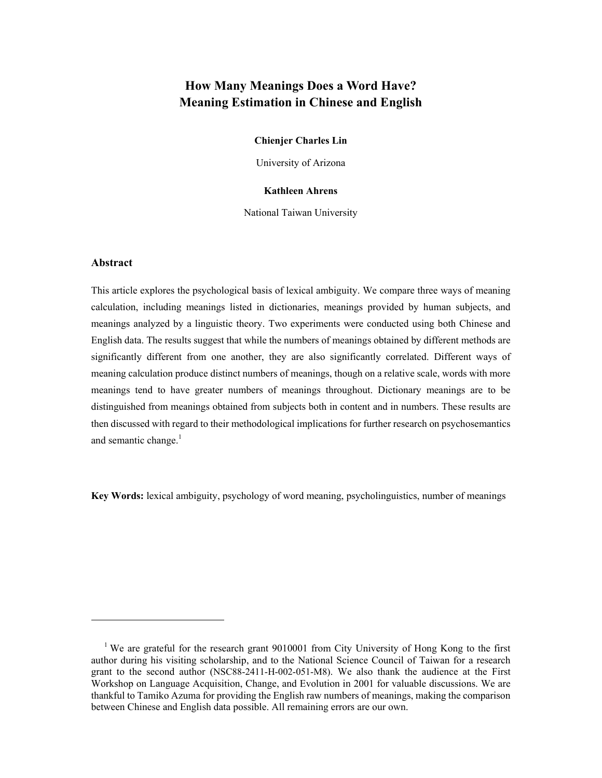# **How Many Meanings Does a Word Have? Meaning Estimation in Chinese and English**

## **Chienjer Charles Lin**

University of Arizona

#### **Kathleen Ahrens**

National Taiwan University

#### **Abstract**

 $\overline{a}$ 

This article explores the psychological basis of lexical ambiguity. We compare three ways of meaning calculation, including meanings listed in dictionaries, meanings provided by human subjects, and meanings analyzed by a linguistic theory. Two experiments were conducted using both Chinese and English data. The results suggest that while the numbers of meanings obtained by different methods are significantly different from one another, they are also significantly correlated. Different ways of meaning calculation produce distinct numbers of meanings, though on a relative scale, words with more meanings tend to have greater numbers of meanings throughout. Dictionary meanings are to be distinguished from meanings obtained from subjects both in content and in numbers. These results are then discussed with regard to their methodological implications for further research on psychosemantics and semantic change. $<sup>1</sup>$ </sup>

**Key Words:** lexical ambiguity, psychology of word meaning, psycholinguistics, number of meanings

<sup>&</sup>lt;sup>1</sup> We are grateful for the research grant 9010001 from City University of Hong Kong to the first author during his visiting scholarship, and to the National Science Council of Taiwan for a research grant to the second author (NSC88-2411-H-002-051-M8). We also thank the audience at the First Workshop on Language Acquisition, Change, and Evolution in 2001 for valuable discussions. We are thankful to Tamiko Azuma for providing the English raw numbers of meanings, making the comparison between Chinese and English data possible. All remaining errors are our own.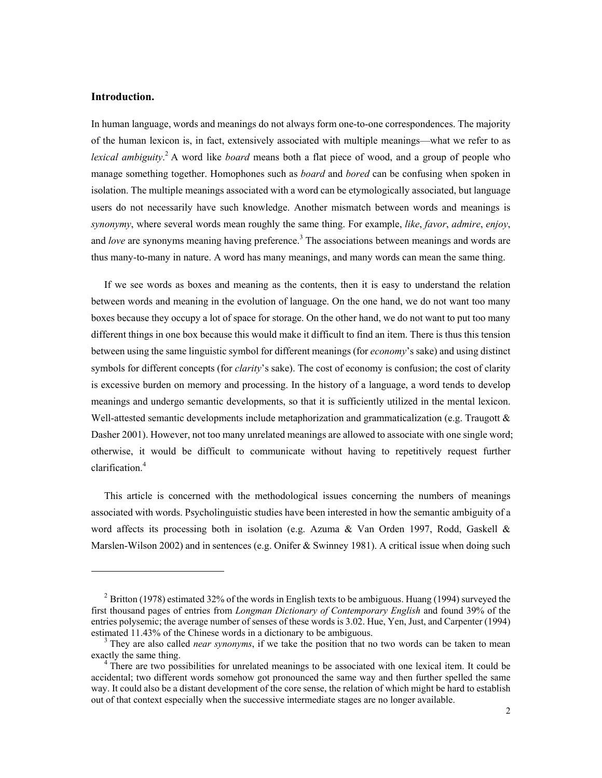# **Introduction.**

 $\overline{a}$ 

In human language, words and meanings do not always form one-to-one correspondences. The majority of the human lexicon is, in fact, extensively associated with multiple meanings—what we refer to as lexical ambiguity.<sup>2</sup> A word like *board* means both a flat piece of wood, and a group of people who manage something together. Homophones such as *board* and *bored* can be confusing when spoken in isolation. The multiple meanings associated with a word can be etymologically associated, but language users do not necessarily have such knowledge. Another mismatch between words and meanings is *synonymy*, where several words mean roughly the same thing. For example, *like*, *favor*, *admire*, *enjoy*, and *love* are synonyms meaning having preference.<sup>3</sup> The associations between meanings and words are thus many-to-many in nature. A word has many meanings, and many words can mean the same thing.

If we see words as boxes and meaning as the contents, then it is easy to understand the relation between words and meaning in the evolution of language. On the one hand, we do not want too many boxes because they occupy a lot of space for storage. On the other hand, we do not want to put too many different things in one box because this would make it difficult to find an item. There is thus this tension between using the same linguistic symbol for different meanings (for *economy*'s sake) and using distinct symbols for different concepts (for *clarity*'s sake). The cost of economy is confusion; the cost of clarity is excessive burden on memory and processing. In the history of a language, a word tends to develop meanings and undergo semantic developments, so that it is sufficiently utilized in the mental lexicon. Well-attested semantic developments include metaphorization and grammaticalization (e.g. Traugott & Dasher 2001). However, not too many unrelated meanings are allowed to associate with one single word; otherwise, it would be difficult to communicate without having to repetitively request further clarification.4

This article is concerned with the methodological issues concerning the numbers of meanings associated with words. Psycholinguistic studies have been interested in how the semantic ambiguity of a word affects its processing both in isolation (e.g. Azuma & Van Orden 1997, Rodd, Gaskell & Marslen-Wilson 2002) and in sentences (e.g. Onifer & Swinney 1981). A critical issue when doing such

<sup>&</sup>lt;sup>2</sup> Britton (1978) estimated 32% of the words in English texts to be ambiguous. Huang (1994) surveyed the first thousand pages of entries from *Longman Dictionary of Contemporary English* and found 39% of the entries polysemic; the average number of senses of these words is 3.02. Hue, Yen, Just, and Carpenter (1994) estimated 11.43% of the Chinese words in a dictionary to be ambiguous.

<sup>&</sup>lt;sup>3</sup> They are also called *near synonyms*, if we take the position that no two words can be taken to mean exactly the same thing. 4

<sup>&</sup>lt;sup>4</sup> There are two possibilities for unrelated meanings to be associated with one lexical item. It could be accidental; two different words somehow got pronounced the same way and then further spelled the same way. It could also be a distant development of the core sense, the relation of which might be hard to establish out of that context especially when the successive intermediate stages are no longer available.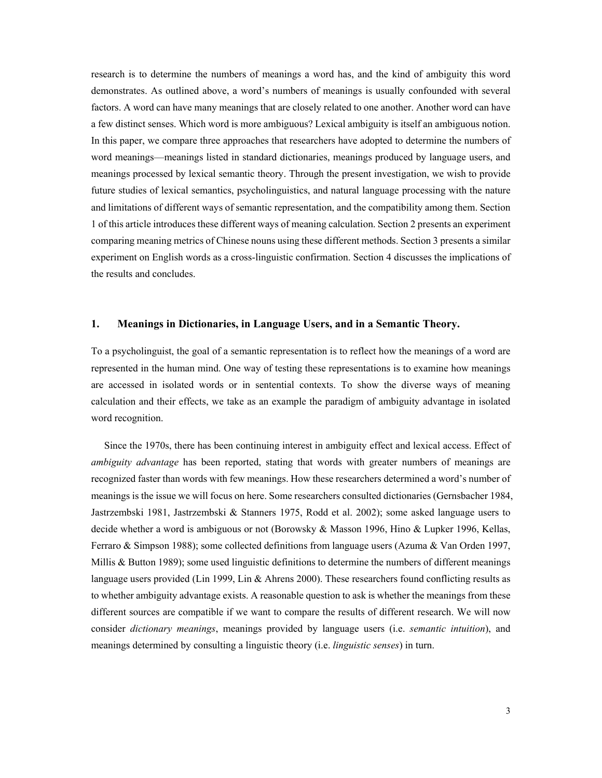research is to determine the numbers of meanings a word has, and the kind of ambiguity this word demonstrates. As outlined above, a word's numbers of meanings is usually confounded with several factors. A word can have many meanings that are closely related to one another. Another word can have a few distinct senses. Which word is more ambiguous? Lexical ambiguity is itself an ambiguous notion. In this paper, we compare three approaches that researchers have adopted to determine the numbers of word meanings—meanings listed in standard dictionaries, meanings produced by language users, and meanings processed by lexical semantic theory. Through the present investigation, we wish to provide future studies of lexical semantics, psycholinguistics, and natural language processing with the nature and limitations of different ways of semantic representation, and the compatibility among them. Section 1 of this article introduces these different ways of meaning calculation. Section 2 presents an experiment comparing meaning metrics of Chinese nouns using these different methods. Section 3 presents a similar experiment on English words as a cross-linguistic confirmation. Section 4 discusses the implications of the results and concludes.

# **1. Meanings in Dictionaries, in Language Users, and in a Semantic Theory.**

To a psycholinguist, the goal of a semantic representation is to reflect how the meanings of a word are represented in the human mind. One way of testing these representations is to examine how meanings are accessed in isolated words or in sentential contexts. To show the diverse ways of meaning calculation and their effects, we take as an example the paradigm of ambiguity advantage in isolated word recognition.

Since the 1970s, there has been continuing interest in ambiguity effect and lexical access. Effect of *ambiguity advantage* has been reported, stating that words with greater numbers of meanings are recognized faster than words with few meanings. How these researchers determined a word's number of meanings is the issue we will focus on here. Some researchers consulted dictionaries (Gernsbacher 1984, Jastrzembski 1981, Jastrzembski & Stanners 1975, Rodd et al. 2002); some asked language users to decide whether a word is ambiguous or not (Borowsky & Masson 1996, Hino & Lupker 1996, Kellas, Ferraro & Simpson 1988); some collected definitions from language users (Azuma & Van Orden 1997, Millis & Button 1989); some used linguistic definitions to determine the numbers of different meanings language users provided (Lin 1999, Lin & Ahrens 2000). These researchers found conflicting results as to whether ambiguity advantage exists. A reasonable question to ask is whether the meanings from these different sources are compatible if we want to compare the results of different research. We will now consider *dictionary meanings*, meanings provided by language users (i.e. *semantic intuition*), and meanings determined by consulting a linguistic theory (i.e. *linguistic senses*) in turn.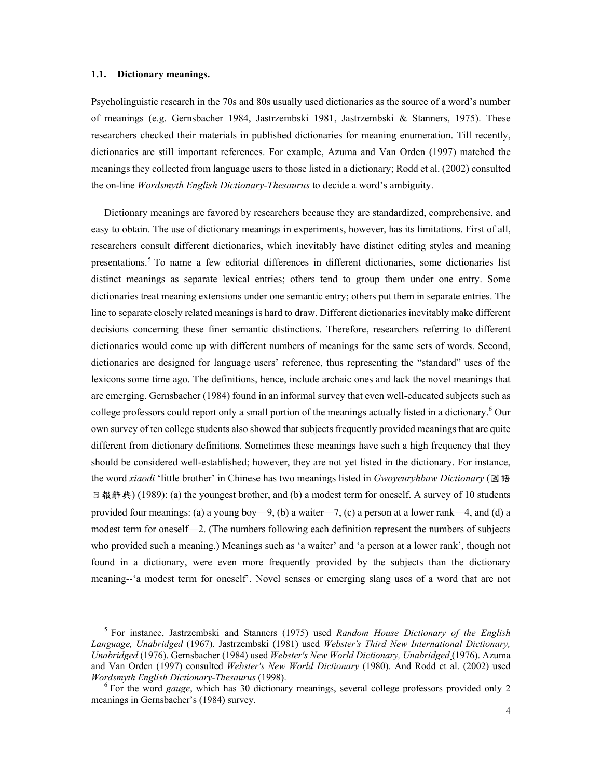#### **1.1. Dictionary meanings.**

l

Psycholinguistic research in the 70s and 80s usually used dictionaries as the source of a word's number of meanings (e.g. Gernsbacher 1984, Jastrzembski 1981, Jastrzembski & Stanners, 1975). These researchers checked their materials in published dictionaries for meaning enumeration. Till recently, dictionaries are still important references. For example, Azuma and Van Orden (1997) matched the meanings they collected from language users to those listed in a dictionary; Rodd et al. (2002) consulted the on-line *Wordsmyth English Dictionary-Thesaurus* to decide a word's ambiguity.

Dictionary meanings are favored by researchers because they are standardized, comprehensive, and easy to obtain. The use of dictionary meanings in experiments, however, has its limitations. First of all, researchers consult different dictionaries, which inevitably have distinct editing styles and meaning presentations.<sup>5</sup> To name a few editorial differences in different dictionaries, some dictionaries list distinct meanings as separate lexical entries; others tend to group them under one entry. Some dictionaries treat meaning extensions under one semantic entry; others put them in separate entries. The line to separate closely related meanings is hard to draw. Different dictionaries inevitably make different decisions concerning these finer semantic distinctions. Therefore, researchers referring to different dictionaries would come up with different numbers of meanings for the same sets of words. Second, dictionaries are designed for language users' reference, thus representing the "standard" uses of the lexicons some time ago. The definitions, hence, include archaic ones and lack the novel meanings that are emerging. Gernsbacher (1984) found in an informal survey that even well-educated subjects such as college professors could report only a small portion of the meanings actually listed in a dictionary.<sup>6</sup> Our own survey of ten college students also showed that subjects frequently provided meanings that are quite different from dictionary definitions. Sometimes these meanings have such a high frequency that they should be considered well-established; however, they are not yet listed in the dictionary. For instance, the word *xiaodi* 'little brother' in Chinese has two meanings listed in *Gwoyeuryhbaw Dictionary* (國語 日報辭典) (1989): (a) the youngest brother, and (b) a modest term for oneself. A survey of 10 students provided four meanings: (a) a young boy—9, (b) a waiter—7, (c) a person at a lower rank—4, and (d) a modest term for oneself—2. (The numbers following each definition represent the numbers of subjects who provided such a meaning.) Meanings such as 'a waiter' and 'a person at a lower rank', though not found in a dictionary, were even more frequently provided by the subjects than the dictionary meaning--'a modest term for oneself'. Novel senses or emerging slang uses of a word that are not

<sup>5</sup> For instance, Jastrzembski and Stanners (1975) used *Random House Dictionary of the English Language, Unabridged* (1967). Jastrzembski (1981) used *Webster's Third New International Dictionary, Unabridged* (1976). Gernsbacher (1984) used *Webster's New World Dictionary, Unabridged* (1976). Azuma and Van Orden (1997) consulted *Webster's New World Dictionary* (1980). And Rodd et al. (2002) used *Wordsmyth English Dictionary-Thesaurus* (1998).

<sup>&</sup>lt;sup>6</sup> For the word *gauge*, which has 30 dictionary meanings, several college professors provided only 2 meanings in Gernsbacher's (1984) survey.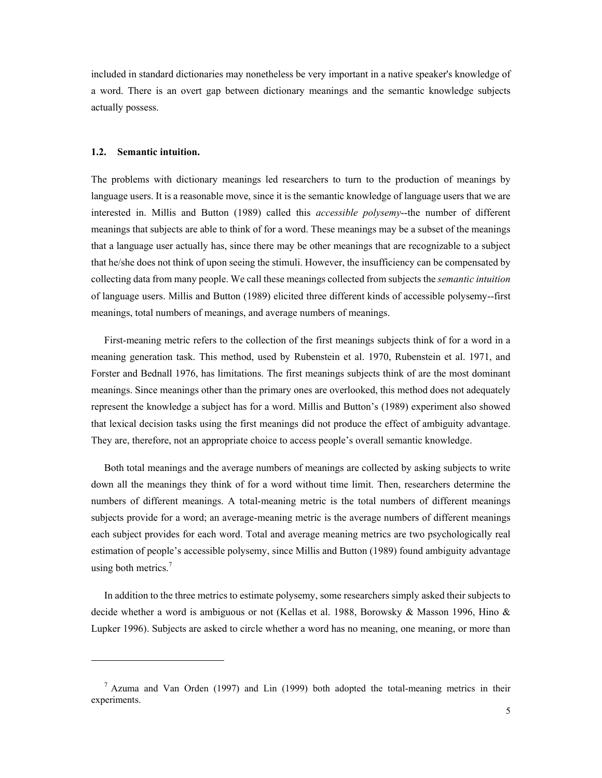included in standard dictionaries may nonetheless be very important in a native speaker's knowledge of a word. There is an overt gap between dictionary meanings and the semantic knowledge subjects actually possess.

## **1.2. Semantic intuition.**

 $\overline{a}$ 

The problems with dictionary meanings led researchers to turn to the production of meanings by language users. It is a reasonable move, since it is the semantic knowledge of language users that we are interested in. Millis and Button (1989) called this *accessible polysemy*--the number of different meanings that subjects are able to think of for a word. These meanings may be a subset of the meanings that a language user actually has, since there may be other meanings that are recognizable to a subject that he/she does not think of upon seeing the stimuli. However, the insufficiency can be compensated by collecting data from many people. We call these meanings collected from subjects the *semantic intuition* of language users. Millis and Button (1989) elicited three different kinds of accessible polysemy--first meanings, total numbers of meanings, and average numbers of meanings.

First-meaning metric refers to the collection of the first meanings subjects think of for a word in a meaning generation task. This method, used by Rubenstein et al. 1970, Rubenstein et al. 1971, and Forster and Bednall 1976, has limitations. The first meanings subjects think of are the most dominant meanings. Since meanings other than the primary ones are overlooked, this method does not adequately represent the knowledge a subject has for a word. Millis and Button's (1989) experiment also showed that lexical decision tasks using the first meanings did not produce the effect of ambiguity advantage. They are, therefore, not an appropriate choice to access people's overall semantic knowledge.

Both total meanings and the average numbers of meanings are collected by asking subjects to write down all the meanings they think of for a word without time limit. Then, researchers determine the numbers of different meanings. A total-meaning metric is the total numbers of different meanings subjects provide for a word; an average-meaning metric is the average numbers of different meanings each subject provides for each word. Total and average meaning metrics are two psychologically real estimation of people's accessible polysemy, since Millis and Button (1989) found ambiguity advantage using both metrics. $<sup>7</sup>$ </sup>

In addition to the three metrics to estimate polysemy, some researchers simply asked their subjects to decide whether a word is ambiguous or not (Kellas et al. 1988, Borowsky & Masson 1996, Hino & Lupker 1996). Subjects are asked to circle whether a word has no meaning, one meaning, or more than

 $<sup>7</sup>$  Azuma and Van Orden (1997) and Lin (1999) both adopted the total-meaning metrics in their</sup> experiments.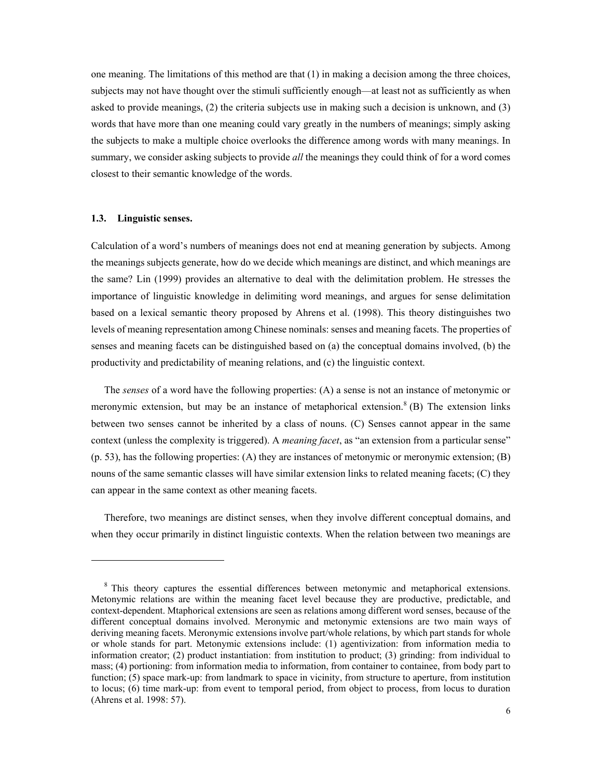one meaning. The limitations of this method are that (1) in making a decision among the three choices, subjects may not have thought over the stimuli sufficiently enough—at least not as sufficiently as when asked to provide meanings, (2) the criteria subjects use in making such a decision is unknown, and (3) words that have more than one meaning could vary greatly in the numbers of meanings; simply asking the subjects to make a multiple choice overlooks the difference among words with many meanings. In summary, we consider asking subjects to provide *all* the meanings they could think of for a word comes closest to their semantic knowledge of the words.

#### **1.3. Linguistic senses.**

l

Calculation of a word's numbers of meanings does not end at meaning generation by subjects. Among the meanings subjects generate, how do we decide which meanings are distinct, and which meanings are the same? Lin (1999) provides an alternative to deal with the delimitation problem. He stresses the importance of linguistic knowledge in delimiting word meanings, and argues for sense delimitation based on a lexical semantic theory proposed by Ahrens et al. (1998). This theory distinguishes two levels of meaning representation among Chinese nominals: senses and meaning facets. The properties of senses and meaning facets can be distinguished based on (a) the conceptual domains involved, (b) the productivity and predictability of meaning relations, and (c) the linguistic context.

The *senses* of a word have the following properties: (A) a sense is not an instance of metonymic or meronymic extension, but may be an instance of metaphorical extension.<sup>8</sup> (B) The extension links between two senses cannot be inherited by a class of nouns. (C) Senses cannot appear in the same context (unless the complexity is triggered). A *meaning facet*, as "an extension from a particular sense" (p. 53), has the following properties: (A) they are instances of metonymic or meronymic extension; (B) nouns of the same semantic classes will have similar extension links to related meaning facets; (C) they can appear in the same context as other meaning facets.

Therefore, two meanings are distinct senses, when they involve different conceptual domains, and when they occur primarily in distinct linguistic contexts. When the relation between two meanings are

<sup>&</sup>lt;sup>8</sup> This theory captures the essential differences between metonymic and metaphorical extensions. Metonymic relations are within the meaning facet level because they are productive, predictable, and context-dependent. Mtaphorical extensions are seen as relations among different word senses, because of the different conceptual domains involved. Meronymic and metonymic extensions are two main ways of deriving meaning facets. Meronymic extensions involve part/whole relations, by which part stands for whole or whole stands for part. Metonymic extensions include: (1) agentivization: from information media to information creator; (2) product instantiation: from institution to product; (3) grinding: from individual to mass; (4) portioning: from information media to information, from container to containee, from body part to function; (5) space mark-up: from landmark to space in vicinity, from structure to aperture, from institution to locus; (6) time mark-up: from event to temporal period, from object to process, from locus to duration (Ahrens et al. 1998: 57).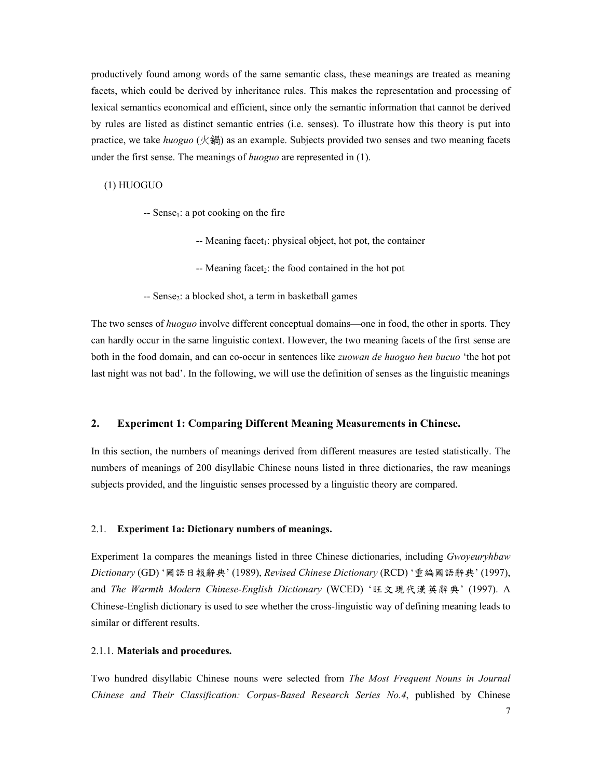productively found among words of the same semantic class, these meanings are treated as meaning facets, which could be derived by inheritance rules. This makes the representation and processing of lexical semantics economical and efficient, since only the semantic information that cannot be derived by rules are listed as distinct semantic entries (i.e. senses). To illustrate how this theory is put into practice, we take *huoguo* (火鍋) as an example. Subjects provided two senses and two meaning facets under the first sense. The meanings of *huoguo* are represented in (1).

(1) HUOGUO

- $-$  Sense<sub>1</sub>: a pot cooking on the fire
	- $-$  Meaning facet<sub>1</sub>: physical object, hot pot, the container
	- $-$  Meaning facet<sub>2</sub>: the food contained in the hot pot
- $-$  Sense $\alpha$ : a blocked shot, a term in basketball games

The two senses of *huoguo* involve different conceptual domains—one in food, the other in sports. They can hardly occur in the same linguistic context. However, the two meaning facets of the first sense are both in the food domain, and can co-occur in sentences like *zuowan de huoguo hen bucuo* 'the hot pot last night was not bad'. In the following, we will use the definition of senses as the linguistic meanings

# **2. Experiment 1: Comparing Different Meaning Measurements in Chinese.**

In this section, the numbers of meanings derived from different measures are tested statistically. The numbers of meanings of 200 disyllabic Chinese nouns listed in three dictionaries, the raw meanings subjects provided, and the linguistic senses processed by a linguistic theory are compared.

## 2.1. **Experiment 1a: Dictionary numbers of meanings.**

Experiment 1a compares the meanings listed in three Chinese dictionaries, including *Gwoyeuryhbaw Dictionary* (GD) '國語日報辭典' (1989), *Revised Chinese Dictionary* (RCD) '重編國語辭典' (1997), and *The Warmth Modern Chinese-English Dictionary* (WCED) '旺文現代漢英辭典' (1997). A Chinese-English dictionary is used to see whether the cross-linguistic way of defining meaning leads to similar or different results.

#### 2.1.1. **Materials and procedures.**

Two hundred disyllabic Chinese nouns were selected from *The Most Frequent Nouns in Journal Chinese and Their Classification: Corpus-Based Research Series No.4*, published by Chinese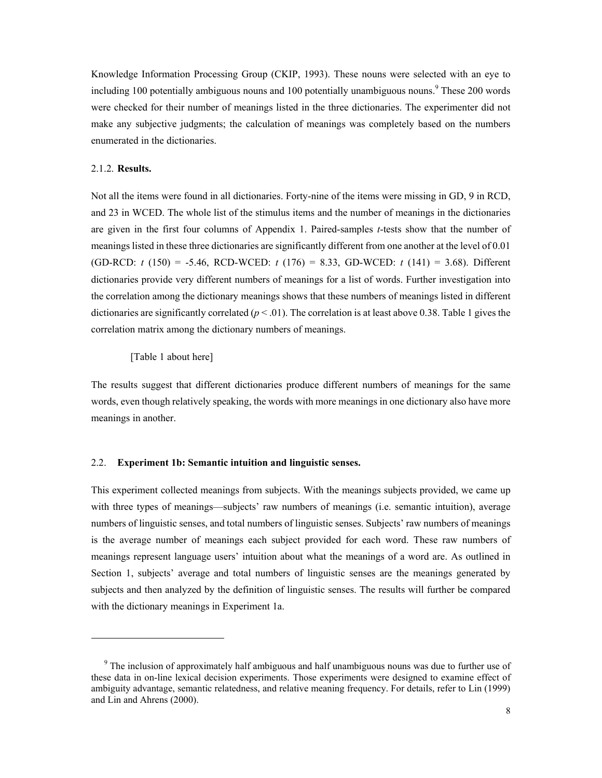Knowledge Information Processing Group (CKIP, 1993). These nouns were selected with an eye to including 100 potentially ambiguous nouns and 100 potentially unambiguous nouns.<sup>9</sup> These 200 words were checked for their number of meanings listed in the three dictionaries. The experimenter did not make any subjective judgments; the calculation of meanings was completely based on the numbers enumerated in the dictionaries.

## 2.1.2. **Results.**

l

Not all the items were found in all dictionaries. Forty-nine of the items were missing in GD, 9 in RCD, and 23 in WCED. The whole list of the stimulus items and the number of meanings in the dictionaries are given in the first four columns of Appendix 1. Paired-samples *t*-tests show that the number of meanings listed in these three dictionaries are significantly different from one another at the level of 0.01 (GD-RCD: *t* (150) = -5.46, RCD-WCED: *t* (176) = 8.33, GD-WCED: *t* (141) = 3.68). Different dictionaries provide very different numbers of meanings for a list of words. Further investigation into the correlation among the dictionary meanings shows that these numbers of meanings listed in different dictionaries are significantly correlated ( $p < .01$ ). The correlation is at least above 0.38. Table 1 gives the correlation matrix among the dictionary numbers of meanings.

#### [Table 1 about here]

The results suggest that different dictionaries produce different numbers of meanings for the same words, even though relatively speaking, the words with more meanings in one dictionary also have more meanings in another.

#### 2.2. **Experiment 1b: Semantic intuition and linguistic senses.**

This experiment collected meanings from subjects. With the meanings subjects provided, we came up with three types of meanings—subjects' raw numbers of meanings (i.e. semantic intuition), average numbers of linguistic senses, and total numbers of linguistic senses. Subjects' raw numbers of meanings is the average number of meanings each subject provided for each word. These raw numbers of meanings represent language users' intuition about what the meanings of a word are. As outlined in Section 1, subjects' average and total numbers of linguistic senses are the meanings generated by subjects and then analyzed by the definition of linguistic senses. The results will further be compared with the dictionary meanings in Experiment 1a.

<sup>&</sup>lt;sup>9</sup> The inclusion of approximately half ambiguous and half unambiguous nouns was due to further use of these data in on-line lexical decision experiments. Those experiments were designed to examine effect of ambiguity advantage, semantic relatedness, and relative meaning frequency. For details, refer to Lin (1999) and Lin and Ahrens (2000).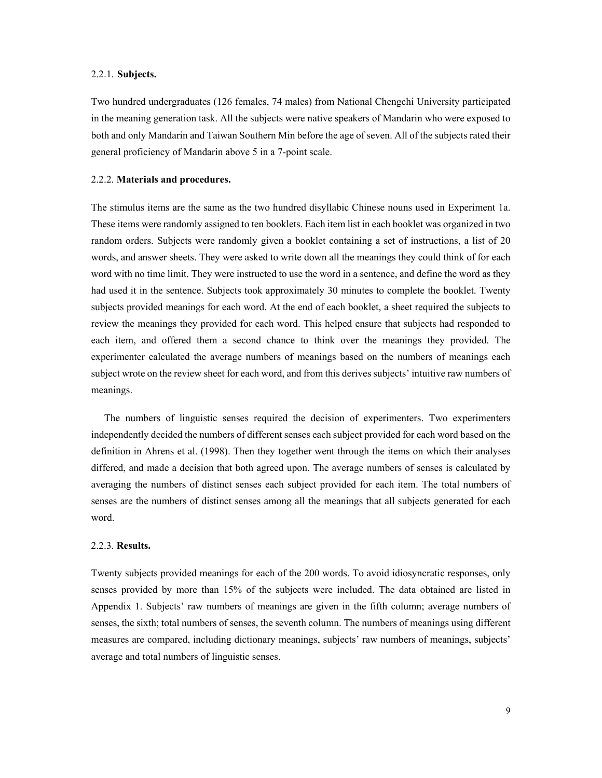#### 2.2.1. **Subjects.**

Two hundred undergraduates (126 females, 74 males) from National Chengchi University participated in the meaning generation task. All the subjects were native speakers of Mandarin who were exposed to both and only Mandarin and Taiwan Southern Min before the age of seven. All of the subjects rated their general proficiency of Mandarin above 5 in a 7-point scale.

## 2.2.2. **Materials and procedures.**

The stimulus items are the same as the two hundred disyllabic Chinese nouns used in Experiment 1a. These items were randomly assigned to ten booklets. Each item list in each booklet was organized in two random orders. Subjects were randomly given a booklet containing a set of instructions, a list of 20 words, and answer sheets. They were asked to write down all the meanings they could think of for each word with no time limit. They were instructed to use the word in a sentence, and define the word as they had used it in the sentence. Subjects took approximately 30 minutes to complete the booklet. Twenty subjects provided meanings for each word. At the end of each booklet, a sheet required the subjects to review the meanings they provided for each word. This helped ensure that subjects had responded to each item, and offered them a second chance to think over the meanings they provided. The experimenter calculated the average numbers of meanings based on the numbers of meanings each subject wrote on the review sheet for each word, and from this derives subjects' intuitive raw numbers of meanings.

The numbers of linguistic senses required the decision of experimenters. Two experimenters independently decided the numbers of different senses each subject provided for each word based on the definition in Ahrens et al. (1998). Then they together went through the items on which their analyses differed, and made a decision that both agreed upon. The average numbers of senses is calculated by averaging the numbers of distinct senses each subject provided for each item. The total numbers of senses are the numbers of distinct senses among all the meanings that all subjects generated for each word.

# 2.2.3. **Results.**

Twenty subjects provided meanings for each of the 200 words. To avoid idiosyncratic responses, only senses provided by more than 15% of the subjects were included. The data obtained are listed in Appendix 1. Subjects' raw numbers of meanings are given in the fifth column; average numbers of senses, the sixth; total numbers of senses, the seventh column. The numbers of meanings using different measures are compared, including dictionary meanings, subjects' raw numbers of meanings, subjects' average and total numbers of linguistic senses.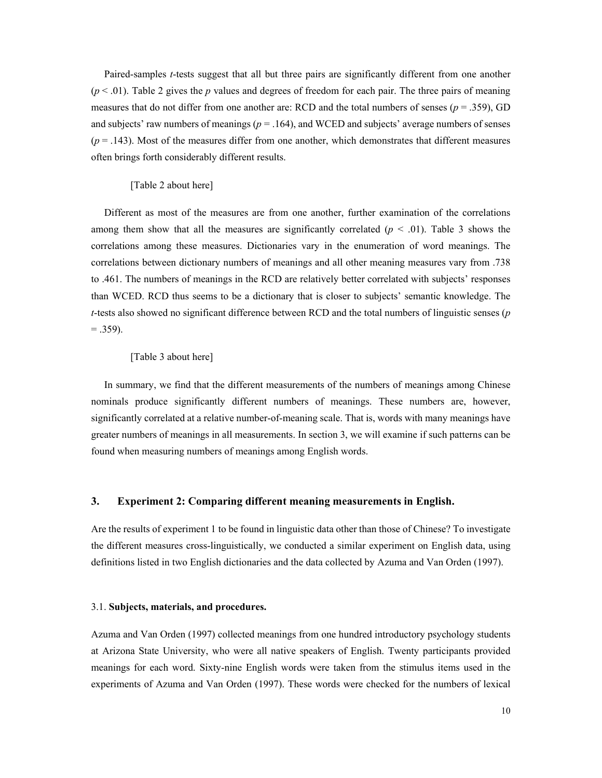Paired-samples *t*-tests suggest that all but three pairs are significantly different from one another  $(p < .01)$ . Table 2 gives the *p* values and degrees of freedom for each pair. The three pairs of meaning measures that do not differ from one another are: RCD and the total numbers of senses  $(p = .359)$ , GD and subjects' raw numbers of meanings ( $p = .164$ ), and WCED and subjects' average numbers of senses  $(p = .143)$ . Most of the measures differ from one another, which demonstrates that different measures often brings forth considerably different results.

#### [Table 2 about here]

Different as most of the measures are from one another, further examination of the correlations among them show that all the measures are significantly correlated  $(p < .01)$ . Table 3 shows the correlations among these measures. Dictionaries vary in the enumeration of word meanings. The correlations between dictionary numbers of meanings and all other meaning measures vary from .738 to .461. The numbers of meanings in the RCD are relatively better correlated with subjects' responses than WCED. RCD thus seems to be a dictionary that is closer to subjects' semantic knowledge. The *t*-tests also showed no significant difference between RCD and the total numbers of linguistic senses (*p*  $= .359$ ).

#### [Table 3 about here]

In summary, we find that the different measurements of the numbers of meanings among Chinese nominals produce significantly different numbers of meanings. These numbers are, however, significantly correlated at a relative number-of-meaning scale. That is, words with many meanings have greater numbers of meanings in all measurements. In section 3, we will examine if such patterns can be found when measuring numbers of meanings among English words.

## **3. Experiment 2: Comparing different meaning measurements in English.**

Are the results of experiment 1 to be found in linguistic data other than those of Chinese? To investigate the different measures cross-linguistically, we conducted a similar experiment on English data, using definitions listed in two English dictionaries and the data collected by Azuma and Van Orden (1997).

#### 3.1. **Subjects, materials, and procedures.**

Azuma and Van Orden (1997) collected meanings from one hundred introductory psychology students at Arizona State University, who were all native speakers of English. Twenty participants provided meanings for each word. Sixty-nine English words were taken from the stimulus items used in the experiments of Azuma and Van Orden (1997). These words were checked for the numbers of lexical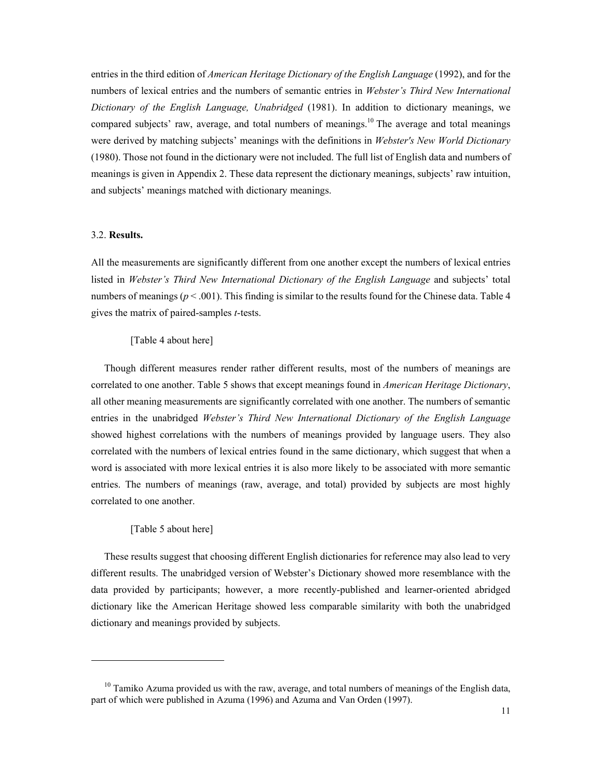entries in the third edition of *American Heritage Dictionary of the English Language* (1992), and for the numbers of lexical entries and the numbers of semantic entries in *Webster's Third New International Dictionary of the English Language, Unabridged* (1981). In addition to dictionary meanings, we compared subjects' raw, average, and total numbers of meanings.10 The average and total meanings were derived by matching subjects' meanings with the definitions in *Webster's New World Dictionary* (1980). Those not found in the dictionary were not included. The full list of English data and numbers of meanings is given in Appendix 2. These data represent the dictionary meanings, subjects' raw intuition, and subjects' meanings matched with dictionary meanings.

#### 3.2. **Results.**

All the measurements are significantly different from one another except the numbers of lexical entries listed in *Webster's Third New International Dictionary of the English Language* and subjects' total numbers of meanings ( $p < .001$ ). This finding is similar to the results found for the Chinese data. Table 4 gives the matrix of paired-samples *t*-tests.

## [Table 4 about here]

Though different measures render rather different results, most of the numbers of meanings are correlated to one another. Table 5 shows that except meanings found in *American Heritage Dictionary*, all other meaning measurements are significantly correlated with one another. The numbers of semantic entries in the unabridged *Webster's Third New International Dictionary of the English Language* showed highest correlations with the numbers of meanings provided by language users. They also correlated with the numbers of lexical entries found in the same dictionary, which suggest that when a word is associated with more lexical entries it is also more likely to be associated with more semantic entries. The numbers of meanings (raw, average, and total) provided by subjects are most highly correlated to one another.

#### [Table 5 about here]

 $\overline{a}$ 

These results suggest that choosing different English dictionaries for reference may also lead to very different results. The unabridged version of Webster's Dictionary showed more resemblance with the data provided by participants; however, a more recently-published and learner-oriented abridged dictionary like the American Heritage showed less comparable similarity with both the unabridged dictionary and meanings provided by subjects.

 $10$  Tamiko Azuma provided us with the raw, average, and total numbers of meanings of the English data, part of which were published in Azuma (1996) and Azuma and Van Orden (1997).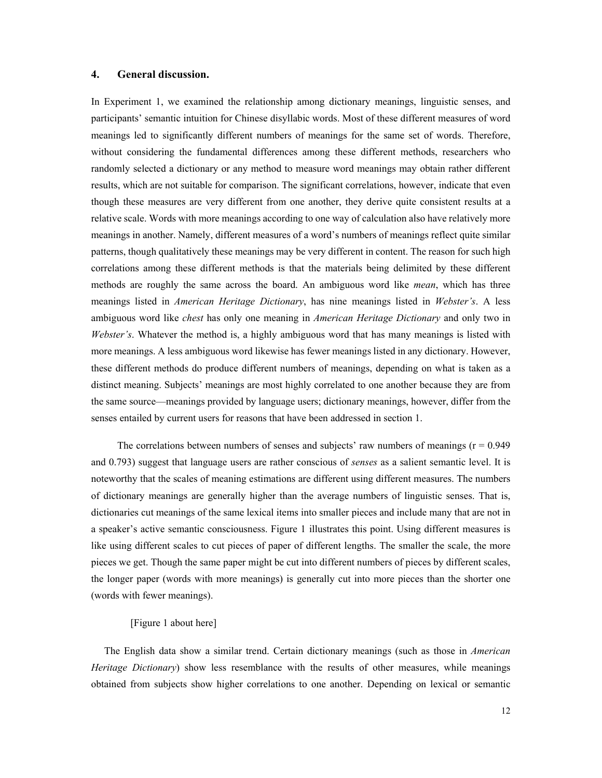## **4. General discussion.**

In Experiment 1, we examined the relationship among dictionary meanings, linguistic senses, and participants' semantic intuition for Chinese disyllabic words. Most of these different measures of word meanings led to significantly different numbers of meanings for the same set of words. Therefore, without considering the fundamental differences among these different methods, researchers who randomly selected a dictionary or any method to measure word meanings may obtain rather different results, which are not suitable for comparison. The significant correlations, however, indicate that even though these measures are very different from one another, they derive quite consistent results at a relative scale. Words with more meanings according to one way of calculation also have relatively more meanings in another. Namely, different measures of a word's numbers of meanings reflect quite similar patterns, though qualitatively these meanings may be very different in content. The reason for such high correlations among these different methods is that the materials being delimited by these different methods are roughly the same across the board. An ambiguous word like *mean*, which has three meanings listed in *American Heritage Dictionary*, has nine meanings listed in *Webster's*. A less ambiguous word like *chest* has only one meaning in *American Heritage Dictionary* and only two in *Webster's*. Whatever the method is, a highly ambiguous word that has many meanings is listed with more meanings. A less ambiguous word likewise has fewer meanings listed in any dictionary. However, these different methods do produce different numbers of meanings, depending on what is taken as a distinct meaning. Subjects' meanings are most highly correlated to one another because they are from the same source—meanings provided by language users; dictionary meanings, however, differ from the senses entailed by current users for reasons that have been addressed in section 1.

The correlations between numbers of senses and subjects' raw numbers of meanings ( $r = 0.949$ ) and 0.793) suggest that language users are rather conscious of *senses* as a salient semantic level. It is noteworthy that the scales of meaning estimations are different using different measures. The numbers of dictionary meanings are generally higher than the average numbers of linguistic senses. That is, dictionaries cut meanings of the same lexical items into smaller pieces and include many that are not in a speaker's active semantic consciousness. Figure 1 illustrates this point. Using different measures is like using different scales to cut pieces of paper of different lengths. The smaller the scale, the more pieces we get. Though the same paper might be cut into different numbers of pieces by different scales, the longer paper (words with more meanings) is generally cut into more pieces than the shorter one (words with fewer meanings).

## [Figure 1 about here]

The English data show a similar trend. Certain dictionary meanings (such as those in *American Heritage Dictionary*) show less resemblance with the results of other measures, while meanings obtained from subjects show higher correlations to one another. Depending on lexical or semantic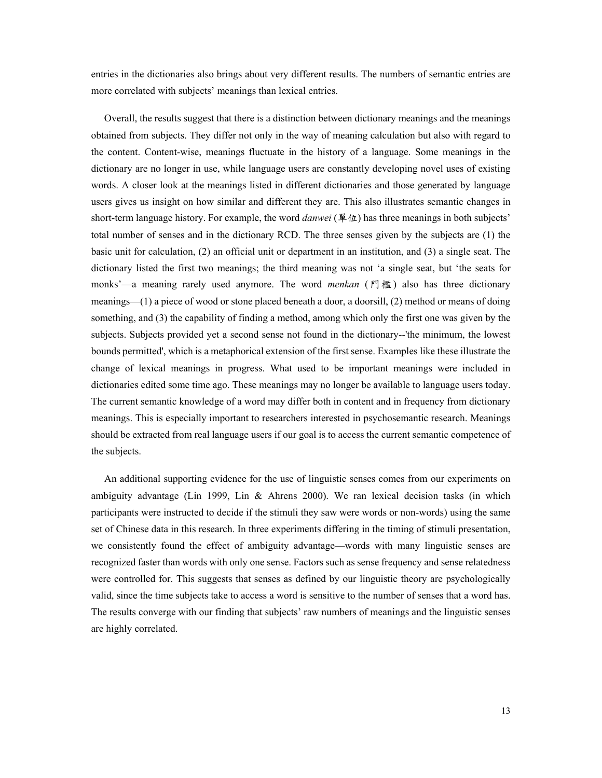entries in the dictionaries also brings about very different results. The numbers of semantic entries are more correlated with subjects' meanings than lexical entries.

Overall, the results suggest that there is a distinction between dictionary meanings and the meanings obtained from subjects. They differ not only in the way of meaning calculation but also with regard to the content. Content-wise, meanings fluctuate in the history of a language. Some meanings in the dictionary are no longer in use, while language users are constantly developing novel uses of existing words. A closer look at the meanings listed in different dictionaries and those generated by language users gives us insight on how similar and different they are. This also illustrates semantic changes in short-term language history. For example, the word *danwei* (單位) has three meanings in both subjects' total number of senses and in the dictionary RCD. The three senses given by the subjects are (1) the basic unit for calculation, (2) an official unit or department in an institution, and (3) a single seat. The dictionary listed the first two meanings; the third meaning was not 'a single seat, but 'the seats for monks'—a meaning rarely used anymore. The word *menkan* (門檻) also has three dictionary meanings—(1) a piece of wood or stone placed beneath a door, a doorsill, (2) method or means of doing something, and (3) the capability of finding a method, among which only the first one was given by the subjects. Subjects provided yet a second sense not found in the dictionary--'the minimum, the lowest bounds permitted', which is a metaphorical extension of the first sense. Examples like these illustrate the change of lexical meanings in progress. What used to be important meanings were included in dictionaries edited some time ago. These meanings may no longer be available to language users today. The current semantic knowledge of a word may differ both in content and in frequency from dictionary meanings. This is especially important to researchers interested in psychosemantic research. Meanings should be extracted from real language users if our goal is to access the current semantic competence of the subjects.

An additional supporting evidence for the use of linguistic senses comes from our experiments on ambiguity advantage (Lin 1999, Lin & Ahrens 2000). We ran lexical decision tasks (in which participants were instructed to decide if the stimuli they saw were words or non-words) using the same set of Chinese data in this research. In three experiments differing in the timing of stimuli presentation, we consistently found the effect of ambiguity advantage—words with many linguistic senses are recognized faster than words with only one sense. Factors such as sense frequency and sense relatedness were controlled for. This suggests that senses as defined by our linguistic theory are psychologically valid, since the time subjects take to access a word is sensitive to the number of senses that a word has. The results converge with our finding that subjects' raw numbers of meanings and the linguistic senses are highly correlated.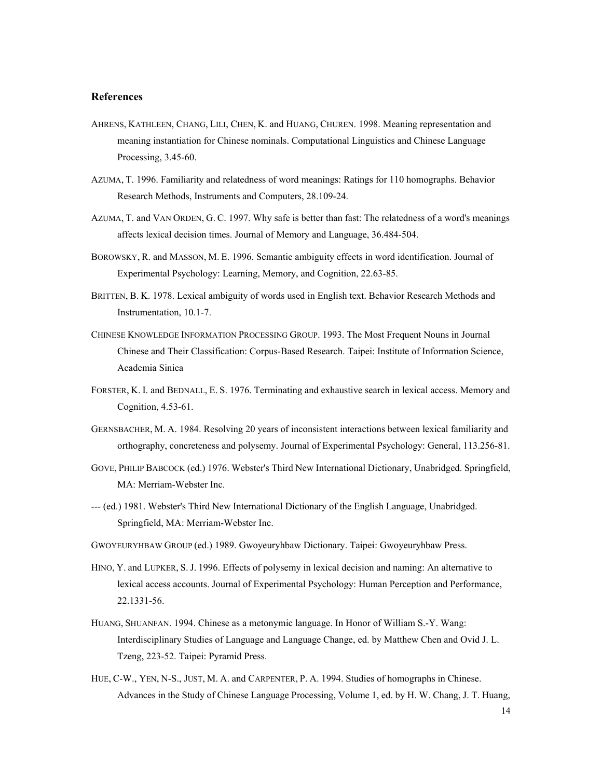# **References**

- AHRENS, KATHLEEN, CHANG, LILI, CHEN, K. and HUANG, CHUREN. 1998. Meaning representation and meaning instantiation for Chinese nominals. Computational Linguistics and Chinese Language Processing, 3.45-60.
- AZUMA, T. 1996. Familiarity and relatedness of word meanings: Ratings for 110 homographs. Behavior Research Methods, Instruments and Computers, 28.109-24.
- AZUMA, T. and VAN ORDEN, G. C. 1997. Why safe is better than fast: The relatedness of a word's meanings affects lexical decision times. Journal of Memory and Language, 36.484-504.
- BOROWSKY, R. and MASSON, M. E. 1996. Semantic ambiguity effects in word identification. Journal of Experimental Psychology: Learning, Memory, and Cognition, 22.63-85.
- BRITTEN, B. K. 1978. Lexical ambiguity of words used in English text. Behavior Research Methods and Instrumentation, 10.1-7.
- CHINESE KNOWLEDGE INFORMATION PROCESSING GROUP. 1993. The Most Frequent Nouns in Journal Chinese and Their Classification: Corpus-Based Research. Taipei: Institute of Information Science, Academia Sinica
- FORSTER, K. I. and BEDNALL, E. S. 1976. Terminating and exhaustive search in lexical access. Memory and Cognition, 4.53-61.
- GERNSBACHER, M. A. 1984. Resolving 20 years of inconsistent interactions between lexical familiarity and orthography, concreteness and polysemy. Journal of Experimental Psychology: General, 113.256-81.
- GOVE, PHILIP BABCOCK (ed.) 1976. Webster's Third New International Dictionary, Unabridged. Springfield, MA: Merriam-Webster Inc.
- --- (ed.) 1981. Webster's Third New International Dictionary of the English Language, Unabridged. Springfield, MA: Merriam-Webster Inc.
- GWOYEURYHBAW GROUP (ed.) 1989. Gwoyeuryhbaw Dictionary. Taipei: Gwoyeuryhbaw Press.
- HINO, Y. and LUPKER, S. J. 1996. Effects of polysemy in lexical decision and naming: An alternative to lexical access accounts. Journal of Experimental Psychology: Human Perception and Performance, 22.1331-56.
- HUANG, SHUANFAN. 1994. Chinese as a metonymic language. In Honor of William S.-Y. Wang: Interdisciplinary Studies of Language and Language Change, ed. by Matthew Chen and Ovid J. L. Tzeng, 223-52. Taipei: Pyramid Press.
- HUE, C-W., YEN, N-S., JUST, M. A. and CARPENTER, P. A. 1994. Studies of homographs in Chinese. Advances in the Study of Chinese Language Processing, Volume 1, ed. by H. W. Chang, J. T. Huang,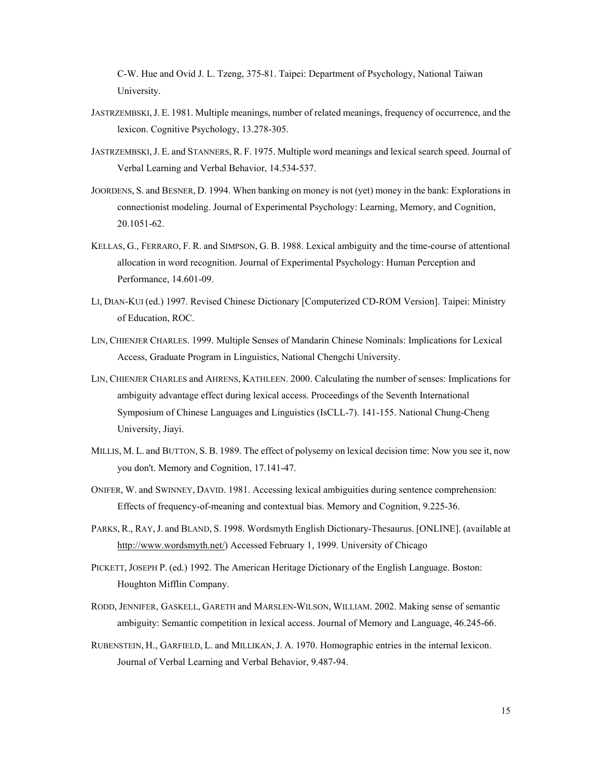C-W. Hue and Ovid J. L. Tzeng, 375-81. Taipei: Department of Psychology, National Taiwan University.

- JASTRZEMBSKI,J. E. 1981. Multiple meanings, number of related meanings, frequency of occurrence, and the lexicon. Cognitive Psychology, 13.278-305.
- JASTRZEMBSKI,J. E. and STANNERS, R. F. 1975. Multiple word meanings and lexical search speed. Journal of Verbal Learning and Verbal Behavior, 14.534-537.
- JOORDENS, S. and BESNER, D. 1994. When banking on money is not (yet) money in the bank: Explorations in connectionist modeling. Journal of Experimental Psychology: Learning, Memory, and Cognition, 20.1051-62.
- KELLAS, G., FERRARO, F. R. and SIMPSON, G. B. 1988. Lexical ambiguity and the time-course of attentional allocation in word recognition. Journal of Experimental Psychology: Human Perception and Performance, 14.601-09.
- LI, DIAN-KUI (ed.) 1997. Revised Chinese Dictionary [Computerized CD-ROM Version]. Taipei: Ministry of Education, ROC.
- LIN, CHIENJER CHARLES. 1999. Multiple Senses of Mandarin Chinese Nominals: Implications for Lexical Access, Graduate Program in Linguistics, National Chengchi University.
- LIN, CHIENJER CHARLES and AHRENS, KATHLEEN. 2000. Calculating the number of senses: Implications for ambiguity advantage effect during lexical access. Proceedings of the Seventh International Symposium of Chinese Languages and Linguistics (IsCLL-7). 141-155. National Chung-Cheng University, Jiayi.
- MILLIS, M. L. and BUTTON, S. B. 1989. The effect of polysemy on lexical decision time: Now you see it, now you don't. Memory and Cognition, 17.141-47.
- ONIFER, W. and SWINNEY, DAVID. 1981. Accessing lexical ambiguities during sentence comprehension: Effects of frequency-of-meaning and contextual bias. Memory and Cognition, 9.225-36.
- PARKS, R., RAY,J. and BLAND, S. 1998. Wordsmyth English Dictionary-Thesaurus. [ONLINE]. (available at http://www.wordsmyth.net/) Accessed February 1, 1999. University of Chicago
- PICKETT, JOSEPH P. (ed.) 1992. The American Heritage Dictionary of the English Language. Boston: Houghton Mifflin Company.
- RODD, JENNIFER, GASKELL, GARETH and MARSLEN-WILSON, WILLIAM. 2002. Making sense of semantic ambiguity: Semantic competition in lexical access. Journal of Memory and Language, 46.245-66.
- RUBENSTEIN, H., GARFIELD, L. and MILLIKAN, J. A. 1970. Homographic entries in the internal lexicon. Journal of Verbal Learning and Verbal Behavior, 9.487-94.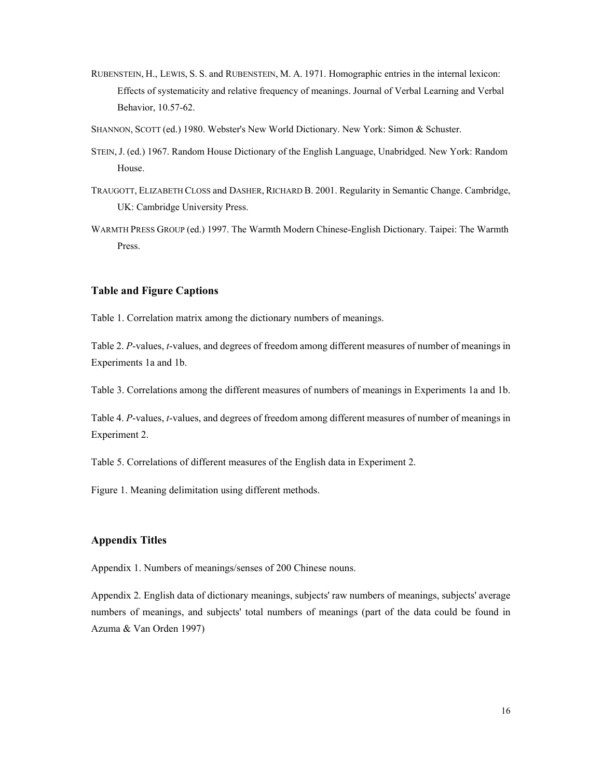- RUBENSTEIN, H., LEWIS, S. S. and RUBENSTEIN, M. A. 1971. Homographic entries in the internal lexicon: Effects of systematicity and relative frequency of meanings. Journal of Verbal Learning and Verbal Behavior, 10.57-62.
- SHANNON, SCOTT (ed.) 1980. Webster's New World Dictionary. New York: Simon & Schuster.
- STEIN, J. (ed.) 1967. Random House Dictionary of the English Language, Unabridged. New York: Random House.
- TRAUGOTT, ELIZABETH CLOSS and DASHER, RICHARD B. 2001. Regularity in Semantic Change. Cambridge, UK: Cambridge University Press.
- WARMTH PRESS GROUP (ed.) 1997. The Warmth Modern Chinese-English Dictionary. Taipei: The Warmth Press.

## **Table and Figure Captions**

Table 1. Correlation matrix among the dictionary numbers of meanings.

Table 2. *P*-values, *t*-values, and degrees of freedom among different measures of number of meanings in Experiments 1a and 1b.

Table 3. Correlations among the different measures of numbers of meanings in Experiments 1a and 1b.

Table 4. *P*-values, *t*-values, and degrees of freedom among different measures of number of meanings in Experiment 2.

Table 5. Correlations of different measures of the English data in Experiment 2.

Figure 1. Meaning delimitation using different methods.

# **Appendix Titles**

Appendix 1. Numbers of meanings/senses of 200 Chinese nouns.

Appendix 2. English data of dictionary meanings, subjects' raw numbers of meanings, subjects' average numbers of meanings, and subjects' total numbers of meanings (part of the data could be found in Azuma & Van Orden 1997)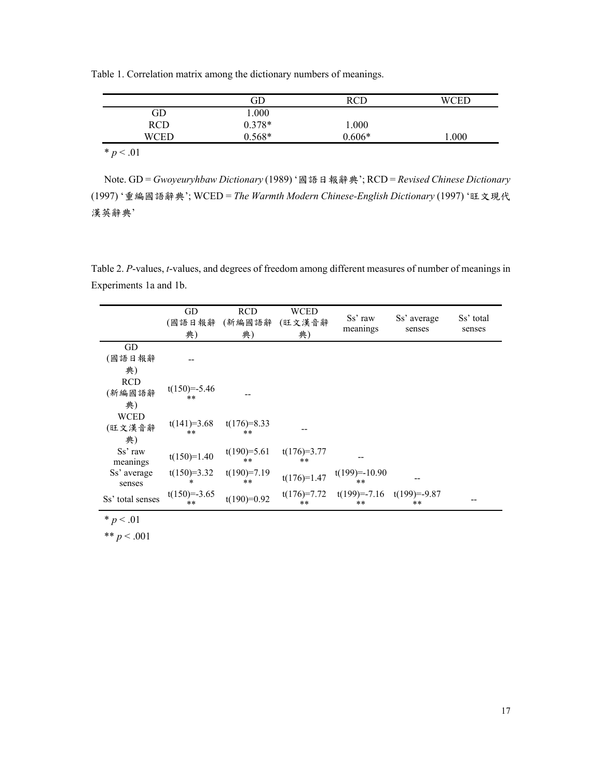Table 1. Correlation matrix among the dictionary numbers of meanings.

|            | ЭD       |        |       |
|------------|----------|--------|-------|
| ЭD         | 000.1    |        |       |
| <b>RCD</b> | $0.378*$ | .000   |       |
| WCEL       | $0.568*$ | በ 606* | 000.1 |
|            |          |        |       |

 $* p < .01$ 

Note. GD = *Gwoyeuryhbaw Dictionary* (1989) '國語日報辭典'; RCD = *Revised Chinese Dictionary* (1997) '重編國語辭典'; WCED = *The Warmth Modern Chinese-English Dictionary* (1997) '旺文現代 漢英辭典'

Table 2. *P*-values, *t*-values, and degrees of freedom among different measures of number of meanings in Experiments 1a and 1b.

|                             | GD<br>(國語日報辭<br>典)     | <b>RCD</b><br>(新編國語辭<br>典) | <b>WCED</b><br>(旺文漢音辭<br>典) | Ss' raw<br>meanings    | Ss' average<br>senses  | Ss' total<br>senses |
|-----------------------------|------------------------|----------------------------|-----------------------------|------------------------|------------------------|---------------------|
| GD                          |                        |                            |                             |                        |                        |                     |
| (國語日報辭                      |                        |                            |                             |                        |                        |                     |
| 典)                          |                        |                            |                             |                        |                        |                     |
| <b>RCD</b><br>(新編國語辭<br>典)  | $t(150)=-5.46$<br>**   |                            |                             |                        |                        |                     |
| <b>WCED</b><br>(旺文漢音辭<br>典) | $t(141)=3.68$<br>**    | $t(176)=8.33$<br>$**$      |                             |                        |                        |                     |
| Ss' raw<br>meanings         | $t(150)=1.40$          | $t(190)=5.61$<br>**        | $t(176)=3.77$<br>$***$      |                        |                        |                     |
| Ss' average<br>senses       | $t(150)=3.32$<br>*     | $t(190)=7.19$<br>$**$      | $t(176)=1.47$               | $t(199)=-10.90$<br>**  |                        |                     |
| Ss' total senses            | $t(150)=-3.65$<br>$**$ | $t(190)=0.92$              | $t(176)=7.72$<br>$***$      | $t(199) = -7.16$<br>** | $t(199)=-9.87$<br>$**$ |                     |

 $* p < .01$ 

\*\*  $p < .001$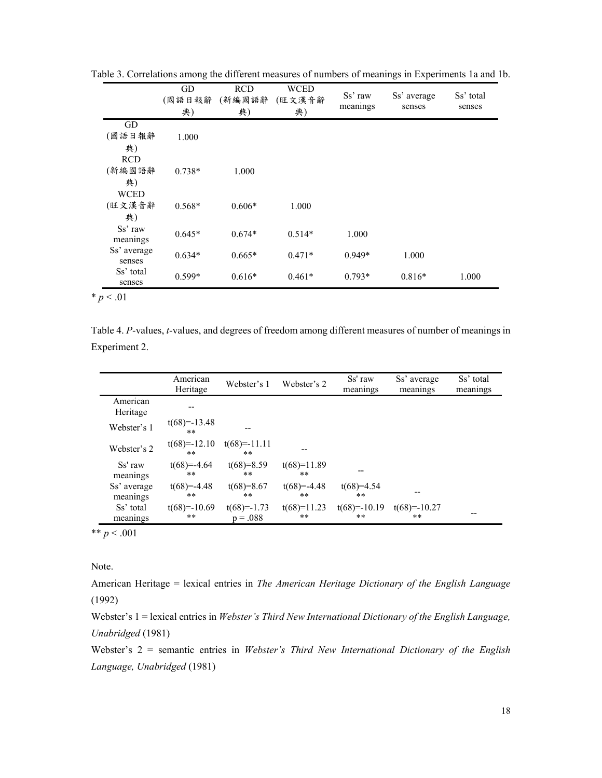|                     | GD<br>(國語日報辭<br>典) | <b>RCD</b><br>(新編國語辭<br>典) | <b>WCED</b><br>(旺文漢音辭<br>典) | Ss' raw<br>meanings | Ss' average<br>senses | Ss' total<br>senses |
|---------------------|--------------------|----------------------------|-----------------------------|---------------------|-----------------------|---------------------|
| GD                  |                    |                            |                             |                     |                       |                     |
| (國語日報辭              | 1.000              |                            |                             |                     |                       |                     |
| 典)                  |                    |                            |                             |                     |                       |                     |
| <b>RCD</b>          |                    |                            |                             |                     |                       |                     |
| (新編國語辭              | $0.738*$           | 1.000                      |                             |                     |                       |                     |
| 典)                  |                    |                            |                             |                     |                       |                     |
| <b>WCED</b>         |                    |                            |                             |                     |                       |                     |
| (旺文漢音辭              | $0.568*$           | $0.606*$                   | 1.000                       |                     |                       |                     |
| 典)                  |                    |                            |                             |                     |                       |                     |
| Ss' raw             | $0.645*$           | $0.674*$                   | $0.514*$                    | 1.000               |                       |                     |
| meanings            |                    |                            |                             |                     |                       |                     |
| Ss' average         | $0.634*$           | $0.665*$                   | $0.471*$                    | $0.949*$            | 1.000                 |                     |
| senses<br>Ss' total |                    |                            |                             |                     |                       |                     |
| senses              | $0.599*$           | $0.616*$                   | $0.461*$                    | $0.793*$            | $0.816*$              | 1.000               |

Table 3. Correlations among the different measures of numbers of meanings in Experiments 1a and 1b.

 $* p < .01$ 

Table 4. *P*-values, *t*-values, and degrees of freedom among different measures of number of meanings in Experiment 2.

|                         | American<br>Heritage | Webster's 1                 | Webster's 2         | Ss' raw<br>meanings  | Ss' average<br>meanings | Ss' total<br>meanings |
|-------------------------|----------------------|-----------------------------|---------------------|----------------------|-------------------------|-----------------------|
| American<br>Heritage    |                      |                             |                     |                      |                         |                       |
| Webster's 1             | $t(68)=-13.48$<br>** |                             |                     |                      |                         |                       |
| Webster's 2             | $t(68)=-12.10$<br>** | $t(68)=-11.11$<br>**        |                     |                      |                         |                       |
| Ss' raw<br>meanings     | $t(68)=-4.64$<br>**  | $t(68)=8.59$<br>**          | $t(68)=11.89$<br>** |                      |                         |                       |
| Ss' average<br>meanings | $t(68)=-4.48$<br>**  | $t(68)=8.67$<br>**          | $t(68)=-4.48$<br>** | $t(68)=4.54$<br>**   |                         |                       |
| Ss' total<br>meanings   | $t(68)=-10.69$<br>** | $t(68)=-1.73$<br>$p = .088$ | $t(68)=11.23$<br>** | $t(68)=-10.19$<br>** | $t(68)=-10.27$<br>**    |                       |

\*\*  $p < .001$ 

Note.

American Heritage = lexical entries in *The American Heritage Dictionary of the English Language* (1992)

Webster's 1 = lexical entries in *Webster's Third New International Dictionary of the English Language, Unabridged* (1981)

Webster's 2 = semantic entries in *Webster's Third New International Dictionary of the English Language, Unabridged* (1981)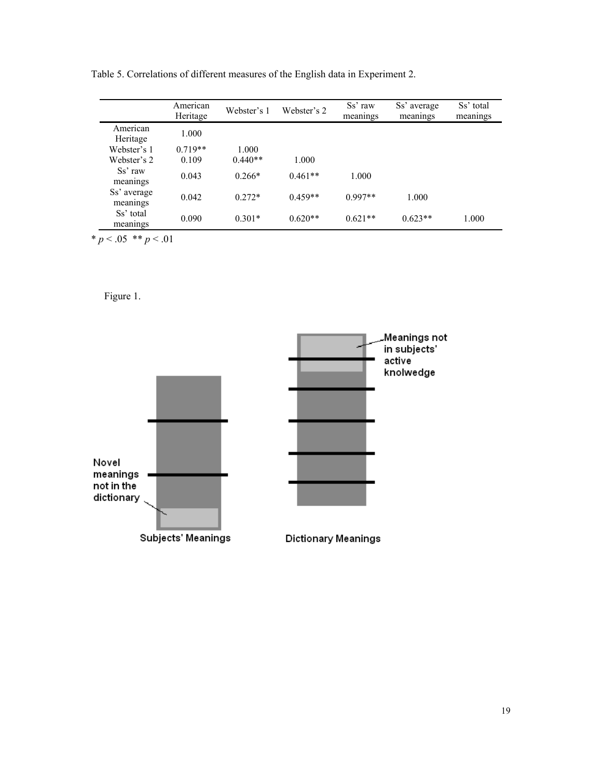|                         | American<br>Heritage | Webster's 1 | Webster's 2 | Ss' raw<br>meanings | Ss' average<br>meanings | Ss' total<br>meanings |
|-------------------------|----------------------|-------------|-------------|---------------------|-------------------------|-----------------------|
| American<br>Heritage    | 1.000                |             |             |                     |                         |                       |
| Webster's 1             | $0.719**$            | 1.000       |             |                     |                         |                       |
| Webster's 2             | 0.109                | $0.440**$   | 1.000       |                     |                         |                       |
| Ss' raw<br>meanings     | 0.043                | $0.266*$    | $0.461**$   | 1.000               |                         |                       |
| Ss' average<br>meanings | 0.042                | $0.272*$    | $0.459**$   | $0.997**$           | 1.000                   |                       |
| Ss' total<br>meanings   | 0.090                | $0.301*$    | $0.620**$   | $0.621**$           | $0.623**$               | 1.000                 |

Table 5. Correlations of different measures of the English data in Experiment 2.

 $* p < .05$  \*\*  $p < .01$ 

Figure 1.

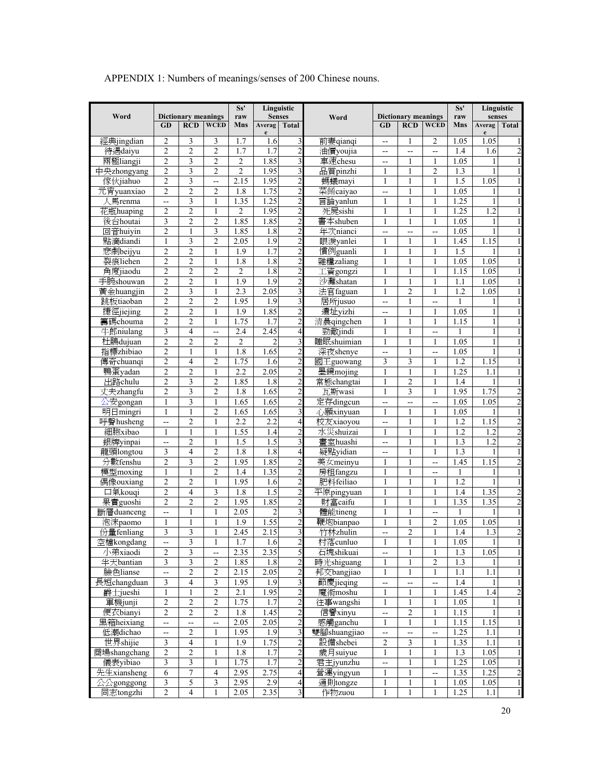|                       | Ss'<br>Linguistic                |                            |                          |                  |                |                                  |                      |                          | Linguistic                 |                |                  |                  |                |
|-----------------------|----------------------------------|----------------------------|--------------------------|------------------|----------------|----------------------------------|----------------------|--------------------------|----------------------------|----------------|------------------|------------------|----------------|
| Word                  |                                  | <b>Dictionary meanings</b> |                          | raw              | <b>Senses</b>  |                                  | Word                 |                          | <b>Dictionary meanings</b> |                | raw              | senses           |                |
|                       | <b>GD</b>                        | <b>RCD</b>                 | <b>WCED</b>              | Mns              | Averag<br>e    | <b>Total</b>                     |                      | GD                       | <b>RCD</b>                 | <b>WCED</b>    | Mns              | Averag<br>e      | Total          |
| 經典jingdian            | 2                                | 3                          | 3                        | 1.7              | 1.6            | $\overline{\mathbf{3}}$          | 前妻qianqi             | $\rightarrow$            | 1                          | 2              | 1.05             | 1.05             |                |
| 待遇daiyu               | $\overline{c}$                   | $\overline{c}$             | $\overline{c}$           | 1.7              | 1.7            | $\overline{c}$                   | 油價youjia             | $\overline{\phantom{a}}$ | $\overline{a}$             | --             | 1.4              | 1.6              | $\overline{c}$ |
| 兩極liangji             | $\overline{c}$                   | 3                          | $\overline{2}$           | $\overline{2}$   | 1.85           | $\overline{\mathbf{3}}$          | 車速chesu              | $\overline{a}$           | 1                          | 1              | 1.05             |                  |                |
| 中央zhongyang           | $\overline{2}$                   | 3                          | $\overline{2}$           | $\overline{2}$   | 1.95           | $\overline{\mathbf{3}}$          | 品質pinzhi             | 1                        | 1                          | $\overline{2}$ | 1.3              |                  |                |
| 傢伙jiahuo              | $\overline{c}$                   | $\overline{\mathbf{3}}$    | Ξ.                       | 2.15             | 1.95           | $\overline{2}$                   | 螞蟻mayi               | 1                        | 1                          | 1              | 1.5              | 1.05             |                |
| 元宵yuanxiao            | 2                                | $\overline{2}$             | $\overline{2}$           | 1.8              | 1.75           | $\overline{c}$                   | 菜餚caiyao             | $\overline{\phantom{a}}$ | 1                          | 1              | 1.05             |                  |                |
| 人馬renma               | --                               | 3                          | $\mathbf{1}$             | 1.35             | 1.25           | $\overline{c}$                   | 言論yanlun             | 1                        | $\mathbf{1}$               | 1              | 1.25             | 1                |                |
| 花瓶huaping             | $\overline{c}$                   | $\overline{2}$             | $\mathbf{1}$             | $\overline{c}$   | 1.95           | $\overline{c}$                   | 死屍sishi              | 1                        | 1                          | 1              | 1.25             | $\overline{1.2}$ |                |
| 後台houtai              | 3                                | $\overline{2}$             | $\overline{2}$           | 1.85             | 1.85           | $\overline{c}$                   | 書本shuben             | 1                        | 1                          | 1              | 1.05             |                  |                |
| 回音huiyin              | $\overline{2}$                   | 1                          | 3                        | 1.85             | 1.8            | $\overline{c}$                   | 年次nianci             | $-$                      | $\overline{a}$             | --             | 1.05             |                  |                |
| 點滴diandi              | $\mathbf{1}$                     | 3                          | $\overline{2}$           | 2.05             | 1.9            | $\overline{c}$                   | 眼淚vanlei             | 1                        | 1                          | 1              | 1.45             | 1.15             |                |
| 悲劇beijyu              | $\overline{c}$                   | $\overline{c}$             | $\mathbf{1}$             | 1.9              | 1.7            | $\overline{c}$                   | 慣例guanli             | $\mathbf{1}$             | $\mathbf{1}$               | $\mathbf{1}$   | 1.5              |                  |                |
| 裂痕liehen              | $\overline{2}$                   | $\overline{2}$             | 1                        | 1.8              | 1.8            | $\overline{2}$                   | 雜糧zaliang            | 1                        |                            | 1              | 1.05             | 1.05             |                |
| 角度jiaodu              | $\overline{2}$                   | $\overline{2}$             | $\overline{2}$           | $\overline{2}$   | 1.8            | $\overline{c}$                   | 工資gongzi             |                          |                            | 1              | 1.15             | 1.05             |                |
| 手腕shouwan             | $\overline{c}$                   | $\overline{c}$             | 1                        | 1.9              | 1.9            | $\overline{c}$                   | 沙灘shatan             | 1                        | 1                          | 1              | 1.1              | 1.05             |                |
| 黃金huangjin            | $\overline{c}$                   | 3                          | 1                        | 2.3              | 2.05           | $\overline{\mathbf{3}}$          | 法官faguan             | 1                        | $\overline{2}$             | 1              | 1.2              | 1.05             |                |
| 跳板tiaoban             | $\overline{c}$                   | $\overline{c}$             | $\overline{c}$           | 1.95             | 1.9            | $\overline{\mathbf{3}}$          | 居所jusuo              | $\overline{a}$           | $\mathbf{1}$               | --             | $\mathbf{1}$     |                  |                |
| 捷徑jiejing             | $\overline{c}$                   | $\overline{2}$             | $\mathbf{1}$             | 1.9              | 1.85           | $\overline{c}$                   | 遺址vizhi              | $\overline{a}$           | $\mathbf{1}$               | $\mathbf{1}$   | 1.05             |                  |                |
| 籌碼chouma              | $\overline{2}$                   | $\overline{2}$             | 1                        | 1.75             | 1.7            | $\overline{c}$                   | 清晨qingchen           | 1                        |                            | 1              | 1.15             | 1                |                |
| 牛郎niulang             | $\overline{\mathbf{3}}$          | $\overline{4}$             | Щ,                       | 2.4              | 2.45           | $\overline{\mathbf{r}}$          | 勁敵jindi              | 1                        |                            | --             |                  |                  |                |
| 杜鵑dujuan              | $\overline{c}$                   | $\overline{2}$             | $\overline{2}$           | $\overline{2}$   | $\overline{c}$ | $\overline{\mathbf{3}}$          | 睡眠shuimian           | 1                        | 1                          | 1              | 1.05             |                  |                |
| 指標zhibiao             | $\overline{c}$                   | $\mathbf{1}$               | $\mathbf{1}$             | 1.8              | 1.65           | $\overline{c}$                   | 深夜shenye             | $\overline{\phantom{a}}$ | $\mathbf{1}$               | --             | 1.05             | 1                |                |
| 傳奇chuanqi             | $\overline{c}$                   | $\overline{4}$             | $\overline{2}$           | 1.75             | 1.6            | $\overline{c}$                   | 國王guowang            | 3                        | 3                          | 1              | $\overline{1.2}$ | .15<br>1         |                |
| 鴨蛋yadan               | $\overline{2}$                   | $\overline{2}$             | $\mathbf{1}$             | 2.2              | 2.05           | $\overline{2}$                   | 墨鏡mojing             | $\mathbf{1}$             | 1                          | 1              | 1.25             | 1.1              |                |
| 出路chulu               | $\overline{c}$                   | $\overline{\mathbf{3}}$    | $\overline{c}$           | 1.85             | 1.8            | $\overline{c}$                   | 常態changtai           | $\mathbf{1}$             | $\overline{2}$             | 1              | 1.4              |                  |                |
| 丈夫zhangfu             | $\overline{c}$                   | 3                          | $\overline{2}$           | 1.8              | 1.65           | $\overline{c}$                   | 瓦斯wasi               | 1                        | 3                          | 1              | 1.95             | 1.75             | $\overline{c}$ |
| 公安gongan              | $\mathbf{1}$                     | 3                          | $\mathbf{1}$             | 1.65             | 1.65           | $\overline{2}$                   | 定存dingcun            | Ξ.                       |                            | --             | 1.05             | 1.05             |                |
| 明日mingri              | $\mathbf{1}$                     | $\mathbf{1}$               | $\overline{c}$           | 1.65             | 1.65           | $\overline{\mathbf{3}}$          | 心願xinyuan            | $\mathbf{1}$             | 1                          | $\mathbf{1}$   | 1.05             |                  |                |
| 呼聲husheng             | --                               | $\overline{2}$             | 1                        | 2.2              | 2.2            | $\overline{a}$                   | 校友xiaoyou            |                          | 1                          | 1              | 1.2              | 1.15             | $\overline{2}$ |
| 細胞xibao               | $\mathbf{1}$                     | 1                          |                          | 1.55             | 1.4            | $\overline{c}$                   | 水災shuizai            | 1                        |                            | 1              | 1.2              | 1.2              | $\overline{2}$ |
| 銀牌yinpai              | L.,                              | $\overline{2}$             | 1                        | $\overline{1.5}$ | 1.5            | $\overline{\mathbf{3}}$          | 畫室huashi             | $\overline{a}$           | 1                          | 1              | 1.3              | 1.2              | $\overline{2}$ |
| 龍頭longtou             | 3                                | $\overline{4}$             | $\overline{2}$           | 1.8              | 1.8            | $\overline{a}$                   | 疑點yidian             |                          | $\mathbf{1}$               | $\mathbf{1}$   | 1.3              |                  |                |
|                       | $\overline{c}$                   | 3                          | $\overline{2}$           | 1.95             | 1.85           |                                  |                      | $-$<br>1                 |                            |                | 1.45             | 1.15             |                |
| 分數fenshu              | 1                                | $\mathbf{1}$               | $\overline{2}$           | 1.4              | 1.35           | $\overline{c}$<br>$\overline{c}$ | 美女meinyu<br>房租fangzu | 1                        |                            |                | $\mathbf{1}$     |                  |                |
| 模型moxing<br>偶像ouxiang | $\overline{c}$                   | $\overline{2}$             | 1                        | 1.95             | 1.6            | $\overline{2}$                   | 肥料feiliao            | 1                        |                            | 1              | $\overline{1.2}$ |                  |                |
|                       |                                  |                            |                          |                  |                |                                  |                      |                          |                            |                |                  |                  |                |
| 口氣kouqi               | $\overline{c}$<br>$\overline{2}$ | $\overline{4}$             | 3                        | 1.8              | 1.5<br>1.85    | $\overline{c}$                   | 平原pingyuan           | 1                        | 1<br>$\mathbf{1}$          | 1              | 1.4              | 1.35             | 2              |
| 果實guoshi              |                                  | $\overline{2}$             | $\overline{2}$           | 1.95             |                | $\overline{c}$                   | 財富caifu              | $\mathbf{1}$             |                            | $\mathbf{1}$   | 1.35             | 1.35             | $\overline{c}$ |
| 斷層duanceng            | Ξ.                               | $\mathbf{1}$               | $\mathbf{1}$             | 2.05             | $\overline{2}$ | $\overline{\mathbf{3}}$          | 體能tineng             | $\mathbf{1}$             | $\mathbf{1}$               | Ξ.             |                  |                  |                |
| 泡沫paomo               | 1                                | 1                          |                          | 1.9              | 1.55           | $\overline{c}$                   | 鞭炮bianpao            | 1                        |                            | $\overline{2}$ | 1.05             | 1.05             |                |
| 份量fenliang            | 3                                | 3                          |                          | 2.45             | 2.15           | $\overline{\mathbf{3}}$          | 竹林zhulin             | Ξ.                       | $\overline{c}$             | $\mathbf{1}$   | 1.4              | $\overline{1.3}$ | $\overline{c}$ |
| 空檔kongdang            |                                  | 3                          | $\,1$                    | $1.7\,$          | 1.6            | $\overline{c}$                   | 村落cunluo             | $\mathbf{1}$             | $\mathbf{1}$               | $\mathbf{1}$   | 1.05             | $\,1$            |                |
| 小弟xiaodi              | 2                                | $\mathfrak{Z}$             | $\overline{\phantom{a}}$ | 2.35             | 2.35           | 5                                | 石塊shikuai            | $\frac{1}{\sqrt{2}}$     | 1                          | $\mathbf{1}$   | 1.3              | 1.05             |                |
| 半天bantian             | $\overline{\mathbf{3}}$          | $\overline{\mathbf{3}}$    | $\overline{\mathbf{c}}$  | 1.85             | $1.8\,$        | $\overline{c}$                   | 時光shiguang           | 1                        | 1                          | $\overline{c}$ | 1.3              |                  |                |
| 臉色lianse              | --                               | $\overline{2}$             | $\overline{c}$           | 2.15             | 2.05           | $\overline{c}$                   | 邦交bangjiao           | 1                        | 1                          | $\mathbf{1}$   | 1.1              | 1.1              |                |
| 長短changduan           | $\overline{\mathbf{3}}$          | $\overline{\mathcal{A}}$   | 3                        | 1.95             | 1.9            | $\overline{\mathbf{3}}$          | 節慶jieqing            | цц                       |                            | шш.<br>——      | 1.4              |                  |                |
| 爵士jueshi              | $\mathbf{1}$                     | 1                          | $\overline{c}$           | 2.1              | 1.95           | $\overline{c}$                   | 魔術moshu              | 1                        | 1                          | 1              | 1.45             | 1.4              |                |
| 軍機junji               | $\overline{c}$                   | $\overline{2}$             | $\overline{c}$           | 1.75             | 1.7            | $\overline{c}$                   | 往事wangshi            | $\mathbf{1}$             | $\mathbf{1}$               | $\mathbf{1}$   | 1.05             | 1                |                |
| 便衣bianyi              | $\overline{c}$                   | $\overline{2}$             | $\overline{c}$           | 1.8              | 1.45           | $\overline{c}$                   | 信譽xinyu              | Ц,                       | $\overline{c}$             | $\mathbf{1}$   | 1.15             |                  |                |
| 黑箱heixiang            | $\overline{\phantom{a}}$         | --                         | --                       | 2.05             | 2.05           | $\overline{2}$                   | 感觸ganchu             | 1                        | 1                          | 1              | 1.15             | 1.15             |                |
| 低潮dichao              | --                               | $\sqrt{2}$                 | 1                        | 1.95             | 1.9            | $\overline{\mathbf{3}}$          | 雙腳shuangjiao         | $\overline{\phantom{a}}$ | $\overline{\phantom{a}}$   | --             | 1.25             | 1.1              |                |
| 世界shijie              | $\overline{\mathbf{3}}$          | $\overline{4}$             |                          | 1.9              | 1.75           | $\overline{c}$                   | 設備shebei             | $\overline{c}$           | 3                          | 1              | 1.35             | 1.1              |                |
| 商場shangchang          | $\overline{c}$                   | $\sqrt{2}$                 | $\mathbf{1}$             | 1.8              | 1.7            | $\overline{2}$                   | 歲月suiyue             | $\mathbf{1}$             | 1                          | $\mathbf{1}$   | 1.3              | 1.05             |                |
| 儀表yibiao              | $\overline{\mathbf{3}}$          | $\overline{\mathbf{3}}$    | 1                        | 1.75             | 1.7            | $\overline{c}$                   | 君主jyunzhu            | $\overline{a}$           | 1                          | 1              | 1.25             | 1.05             |                |
| 先生xiansheng           | 6                                | $\tau$                     | 4                        | 2.95             | 2.75           | $\overline{\mathbf{r}}$          | 營運yingyun            | 1                        | 1                          | Ц.             | 1.35             | 1.25             | $\overline{2}$ |
| 公公gonggong            | 3                                | 5                          | 3                        | 2.95             | 2.9            | $\overline{4}$                   | 通則tongze             | $\mathbf{1}$             | 1                          | 1              | 1.05             | 1.05             | $\mathbf{1}$   |
| 同志tongzhi             | $\overline{c}$                   | $\overline{4}$             | 1                        | 2.05             | 2.35           | $\overline{\mathbf{3}}$          | 作物zuou               | 1                        |                            | 1              | 1.25             | 1.1              |                |

APPENDIX 1: Numbers of meanings/senses of 200 Chinese nouns.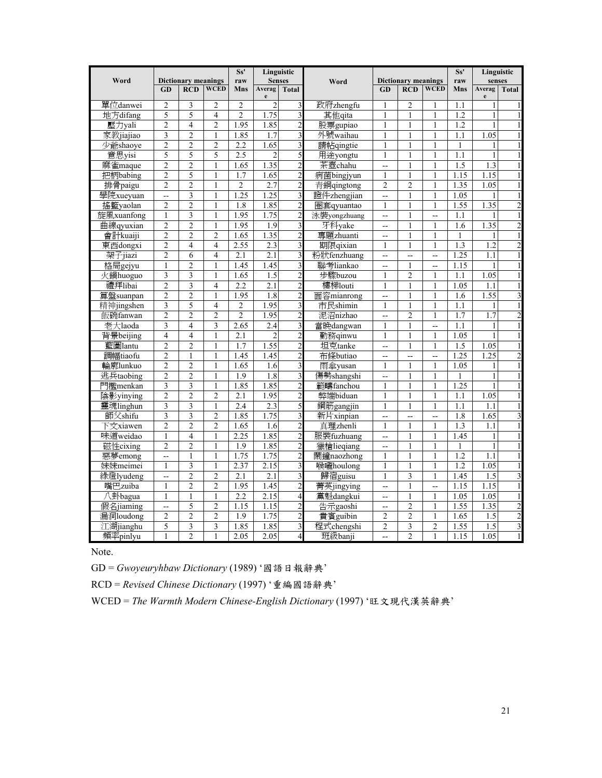|                     |                          |                            |                          | Ss'            | Linguistic       |                                  |                      |                              | Ss'                            |                    | Linguistic       |           |                              |
|---------------------|--------------------------|----------------------------|--------------------------|----------------|------------------|----------------------------------|----------------------|------------------------------|--------------------------------|--------------------|------------------|-----------|------------------------------|
| Word                |                          | <b>Dictionary meanings</b> |                          | raw            | <b>Senses</b>    |                                  | Word                 |                              | <b>Dictionary meanings</b>     |                    | raw              | senses    |                              |
|                     | GD                       | <b>RCD</b>                 | <b>WCED</b>              | Mns            | Averag<br>e      | <b>Total</b>                     |                      | GD                           | <b>RCD</b>                     | <b>WCED</b>        | Mns              | Averag    | <b>Total</b>                 |
| 單位danwei            | $\overline{c}$           | 3                          | $\overline{c}$           | $\overline{c}$ | $\overline{c}$   | 3                                | 政府zhengfu            | 1                            | $\overline{2}$                 | 1                  | 1.1              |           | 1                            |
| 地方difang            | 5                        | 5                          | $\overline{4}$           | $\overline{2}$ | 1.75             | $\overline{\mathbf{3}}$          | 其他qita               | $\mathbf{1}$                 | $\mathbf{1}$                   | $\mathbf{1}$       | 1.2              | 1         | $\mathbf{1}$                 |
| 壓力yali              | $\overline{c}$           | 4                          | $\overline{c}$           | 1.95           | 1.85             | $\overline{2}$                   | 股票gupiao             | 1                            | $\mathbf{1}$                   | $\mathbf{1}$       | 1.2              | 1         | $\mathbf{1}$                 |
| 家教jiajiao           | 3                        | $\overline{2}$             | $\mathbf{1}$             | 1.85           | 1.7              | 3                                | 外號waihau             | 1                            | 1                              | $\mathbf{1}$       | 1.1              | 1.05      | $\mathbf{1}$                 |
| 少爺shaoye            | $\overline{2}$           | $\overline{2}$             | $\overline{2}$           | 2.2            | 1.65             | 3                                | 請帖qingtie            | $\mathbf{1}$                 | 1                              | $\mathbf{1}$       | 1                |           | $\mathbf{1}$                 |
| 意思yisi              | 5                        | 5                          | 5                        | 2.5            | $\overline{c}$   | 5                                | 用途yongtu             | 1                            | 1                              | $\mathbf{1}$       | 1.1              |           | $\mathbf{1}$                 |
| 麻雀maque             | $\overline{2}$           | $\overline{c}$             | 1                        | 1.65           | 1.35             | $\overline{2}$                   | 茶壺chahu              | $\sim$                       | 1                              | $\mathbf{1}$       | 1.5              | 1.3       | $\mathbf{1}$                 |
| 把柄babing            | $\overline{2}$           | 5                          | 1                        | 1.7            | 1.65             | $\overline{c}$                   | 病菌bingjyun           | 1                            | 1                              | $\mathbf{1}$       | 1.15             | 1.15      | $\mathbf{1}$                 |
| 排骨paigu             | $\overline{2}$           | $\overline{2}$             | $\mathbf{1}$             | $\overline{2}$ | 2.7              | $\overline{2}$                   | 青銅qingtong           | $\overline{2}$               | $\overline{2}$                 | $\mathbf{1}$       | 1.35             | 1.05      | $\mathbf{1}$                 |
| 學院xueyuan           | $\overline{a}$           | 3                          | $\mathbf{1}$             | 1.25           | 1.25             | $\overline{\mathbf{3}}$          | 證件zhengjian          | --                           | $\mathbf{1}$                   | $\mathbf{1}$       | 1.05             |           | $\mathbf{1}$                 |
| 搖籃yaolan            | $\overline{2}$           | $\overline{2}$             | $\mathbf{1}$             | 1.8            | 1.85             | $\overline{2}$                   | 圈套qyuantao           | $\mathbf{1}$                 | $\mathbf{1}$                   | $\mathbf{1}$       | 1.55             | 1.35      | $\overline{2}$               |
| 旋風xuanfong          | $\mathbf{1}$             | $\overline{\mathbf{3}}$    | $\mathbf{1}$             | 1.95           | 1.75             | $\overline{2}$                   | 泳裝yongzhuang         | Ц,                           | $\mathbf{1}$                   | Ξ.                 | 1.1              |           | 1                            |
| 曲線qyuxian           | $\overline{2}$           | $\overline{2}$             | $\mathbf{1}$             | 1.95           | 1.9              | 3                                | 牙科yake               | $\overline{a}$               | 1                              | $\mathbf{1}$       | 1.6              | 1.35      | $\overline{2}$               |
| 會計kuaiji            | $\overline{2}$           | $\overline{2}$             | $\overline{2}$           | 1.65           | 1.35             | $\overline{c}$                   | 專題zhuanti            | $\ddotsc$                    | 1                              | $\mathbf{1}$       |                  |           | $\mathbf{1}$                 |
| 東西dongxi            | $\overline{2}$           | $\overline{4}$             | $\overline{4}$           | 2.55           | 2.3              | 3                                | 期限qixian             | 1                            | 1                              | $\mathbf{1}$       | 1.3              | 1.2       | $\overline{2}$               |
| 架子jiazi             | $\overline{2}$           | 6<br>$\overline{c}$        | $\overline{4}$           | 2.1            | $\overline{2.1}$ | 3                                | 粉狀fenzhuang          | $\sim$                       | ä.                             | L.                 | 1.25             | 1.1       | $\mathbf{1}$                 |
| 格局gejyu             | $\mathbf{1}$             | $\overline{\mathbf{3}}$    | 1<br>$\mathbf{1}$        | 1.45<br>1.65   | 1.45<br>1.5      | $\overline{\mathbf{3}}$          | 聯考liankao<br>步驟buzou | $\overline{a}$               | 1                              | -−<br>$\mathbf{1}$ | 1.15<br>1.1      | 1<br>1.05 | $\mathbf{1}$<br>$\mathbf{1}$ |
| 火鍋huoguo<br>禮拜libai | 3<br>$\overline{2}$      | $\overline{\mathbf{3}}$    | $\overline{\mathcal{L}}$ | 2.2            | 2.1              | $\overline{2}$<br>$\overline{2}$ | 樓梯louti              | $\mathbf{1}$<br>$\mathbf{1}$ | $\overline{c}$<br>$\mathbf{1}$ | $\mathbf{1}$       | 1.05             | 1.1       | $\mathbf{1}$                 |
| 算盤suanpan           | $\overline{2}$           | $\overline{2}$             | $\mathbf{1}$             | 1.95           | 1.8              | $\overline{2}$                   | 面容mianrong           | Ξ.                           | 1                              | 1                  | 1.6              | 1.55      | $\overline{\mathbf{3}}$      |
| 精神jingshen          | 3                        | 5                          | $\overline{4}$           | $\overline{c}$ | 1.95             | $\overline{\mathbf{3}}$          | 市民shimin             | 1                            | $\mathbf{1}$                   | $\mathbf{1}$       | 1.1              |           | $\mathbf{1}$                 |
| 飯碗fanwan            | $\overline{2}$           | $\overline{2}$             | $\overline{2}$           | $\overline{2}$ | 1.95             | $\overline{\mathbf{c}}$          | 泥沼nizhao             | $\ddotsc$                    | $\overline{2}$                 | $\mathbf{1}$       | 1.7              | 1.7       | $\overline{\mathbf{c}}$      |
| 老大laoda             | 3                        | $\overline{4}$             | 3                        | 2.65           | 2.4              | $\overline{\mathbf{3}}$          | 當晚dangwan            | 1                            | 1                              | $\sim$             | 1.1              |           | $\mathbf{1}$                 |
| 背景beijing           | $\overline{4}$           | $\overline{4}$             | $\mathbf{1}$             | 2.1            | $\overline{c}$   | $\overline{2}$                   | 勤務qinwu              | 1                            | 1                              | $\mathbf{1}$       | 1.05             | 1         | $\mathbf{1}$                 |
| 藍圖lantu             | $\overline{2}$           | $\overline{c}$             | $\mathbf{1}$             | 1.7            | 1.55             | $\overline{2}$                   | 坦克tanke              | Ξ.                           | 1                              | $\mathbf{1}$       | 1.5              | 1.05      | 1                            |
| 調幅tiaofu            | $\overline{c}$           | $\mathbf{1}$               | 1                        | 1.45           | 1.45             | $\overline{2}$                   | 布條butiao             | -−                           | $\overline{a}$                 | $\rightarrow$      | 1.25             | 1.25      | $\overline{c}$               |
| 輪廓lunkuo            | $\overline{2}$           | $\overline{2}$             | $\mathbf{1}$             | 1.65           | 1.6              | $\overline{\mathbf{3}}$          | 雨傘yusan              | 1                            | 1                              | $\mathbf{1}$       | 1.05             |           | $\mathbf{1}$                 |
| 逃兵taobing           | $\overline{2}$           | $\overline{2}$             | $\mathbf{1}$             | 1.9            | 1.8              | $\overline{\mathbf{3}}$          | 傷勢shangshi           | Ξ.                           | $\mathbf{1}$                   | $\mathbf{1}$       | 1                |           | $\mathbf{1}$                 |
| 門檻menkan            | 3                        | 3                          | 1                        | 1.85           | 1.85             | $\overline{2}$                   | 範疇fanchou            | 1                            | 1                              | $\mathbf{1}$       | 1.25             |           | $\mathbf{1}$                 |
| 陰影yinying           | $\overline{2}$           | $\overline{2}$             | $\overline{2}$           | 2.1            | 1.95             | $\overline{c}$                   | 弊端biduan             | 1                            | $\mathbf{1}$                   | $\mathbf{1}$       | 1.1              | 1.05      | $\mathbf{1}$                 |
| 靈魂linghun           | 3                        | 3                          | 1                        | 2.4            | 2.3              | 5                                | 鋼筋gangjin            | 1                            | 1                              | 1                  | 1.1              | 1.1       | $\mathbf{1}$                 |
| 師父shifu             | 3                        | 3                          | $\overline{2}$           | 1.85           | 1.75             | 3                                | 新片xinpian            | $\overline{a}$               | $\sim$                         | $\overline{a}$     | 1.8              | 1.65      | 3                            |
| 下文xiawen            | $\overline{2}$           | $\overline{2}$             | $\overline{2}$           | 1.65           | 1.6              | $\overline{c}$                   | 真理zhenli             | $\mathbf{1}$                 | $\mathbf{1}$                   | $\mathbf{1}$       | $\overline{1.3}$ | 1.1       | $\mathbf{1}$                 |
| 味道weidao            | 1                        | $\overline{4}$             | 1                        | 2.25           | 1.85             | $\overline{2}$                   | 服裝fuzhuang           | $\overline{a}$               | 1                              | $\mathbf{1}$       | 1.45             |           | $\mathbf{1}$                 |
| 磁性cixing            | $\overline{c}$           | $\overline{c}$             | 1                        | 1.9            | 1.85             | $\overline{2}$                   | 獵槍lieqiang           | $\overline{a}$               | 1                              | $\mathbf{1}$       | 1                |           | $\mathbf{1}$                 |
| 惡夢emong             | $\ddotsc$                | $\mathbf{1}$               | $\mathbf{1}$             | 1.75           | 1.75             | $\overline{2}$                   | 鬧鐘naozhong           | 1                            | 1                              | $\mathbf{1}$       | 1.2              | 1.1       | $\mathbf{1}$                 |
| 妹妹meimei            | $\mathbf{1}$             | $\overline{\mathbf{3}}$    | $\mathbf{1}$             | 2.37           | 2.15             | $\overline{\mathbf{3}}$          | 喉嚨houlong            | $\mathbf{1}$                 | $\mathbf{1}$                   | $\mathbf{1}$       | 1.2              | 1.05      | $\mathbf{1}$                 |
| 綠燈lyudeng           | $\rightarrow$            | $\overline{2}$             | $\overline{c}$           | 2.1            | 2.1              | $\overline{\mathbf{3}}$          | 歸宿guisu              | 1                            | $\overline{3}$                 | 1                  | 1.45             | 1.5       | $\overline{\mathbf{3}}$      |
| 嘴巴zuiba             | 1                        | $\overline{2}$             | $\overline{c}$           | 1.95           | 1.45             | $\overline{2}$                   | 菁英jingying           | --                           | 1                              |                    | 1.15             | 1.15      | $\mathbf{1}$                 |
| 八卦bagua             | 1                        | $\mathbf{1}$               | $\mathbf{1}$             | 2.2            | 2.15             | $\overline{4}$                   | 黨魁dangkui            | Ξ.                           | $\mathbf{1}$                   | $\mathbf{1}$       | 1.05             | 1.05      | $\mathbf{1}$                 |
| 假名jiaming           | $\overline{\phantom{a}}$ | 5                          | $\overline{2}$           | 1.15           | 1.15             | $\overline{\mathbf{c}}$          | 告示gaoshi             | $\overline{\phantom{a}}$     | $\overline{c}$                 | $\mathbf{1}$       | 1.55             | 1.35      | $\overline{c}$               |
| 漏洞loudong           | $\overline{2}$           | $\overline{c}$             | $\overline{c}$           | 1.9            | 1.75             | $\overline{2}$                   | 貴賓guibin             | $\overline{2}$               | $\overline{c}$                 | $\mathbf{1}$       | 1.65             | 1.5       | $\overline{2}$               |
| 江湖jianghu           | 5                        | 3                          | 3                        | 1.85           | 1.85             | 3                                | 程式chengshi           | $\overline{c}$               | 3                              | $\overline{2}$     | 1.55             | 1.5       | $\overline{\mathbf{3}}$      |
| 頻率pinlyu            | 1                        | $\overline{c}$             | 1                        | 2.05           | 2.05             | $\overline{4}$                   | 班級banji              | $\overline{a}$               | $\overline{c}$                 | $\mathbf{1}$       | 1.15             | 1.05      | $\mathbf{1}$                 |

Note.

GD = *Gwoyeuryhbaw Dictionary* (1989) '國語日報辭典'

RCD = *Revised Chinese Dictionary* (1997) '重編國語辭典'

WCED = *The Warmth Modern Chinese-English Dictionary* (1997) '旺文現代漢英辭典'